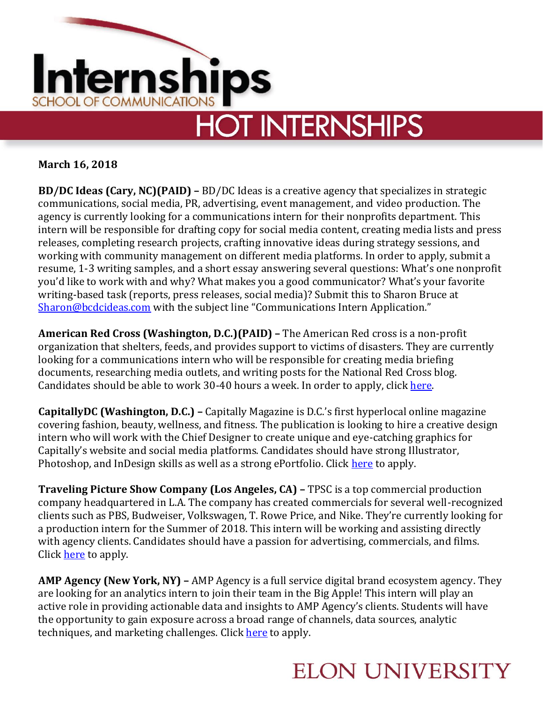

## **March 16, 2018**

**BD/DC Ideas (Cary, NC)(PAID) –** BD/DC Ideas is a creative agency that specializes in strategic communications, social media, PR, advertising, event management, and video production. The agency is currently looking for a communications intern for their nonprofits department. This intern will be responsible for drafting copy for social media content, creating media lists and press releases, completing research projects, crafting innovative ideas during strategy sessions, and working with community management on different media platforms. In order to apply, submit a resume, 1-3 writing samples, and a short essay answering several questions: What's one nonprofit you'd like to work with and why? What makes you a good communicator? What's your favorite writing-based task (reports, press releases, social media)? Submit this to Sharon Bruce at [Sharon@bcdcideas.com](mailto:Sharon@bcdcideas.com) with the subject line "Communications Intern Application."

**American Red Cross (Washington, D.C.)(PAID) –** The American Red cross is a non-profit organization that shelters, feeds, and provides support to victims of disasters. They are currently looking for a communications intern who will be responsible for creating media briefing documents, researching media outlets, and writing posts for the National Red Cross blog. Candidates should be able to work 30-40 hours a week. In order to apply, clic[k here.](https://americanredcross.wd1.myworkdayjobs.com/American_Red_Cross_Careers/job/Washington-DC/Intern--Media-Relations_RC16767?%3Fsource=515)

**CapitallyDC (Washington, D.C.) –** Capitally Magazine is D.C.'s first hyperlocal online magazine covering fashion, beauty, wellness, and fitness. The publication is looking to hire a creative design intern who will work with the Chief Designer to create unique and eye-catching graphics for Capitally's website and social media platforms. Candidates should have strong Illustrator, Photoshop, and InDesign skills as well as a strong ePortfolio. Click [here](https://www.linkedin.com/jobs/view/graphic-design-intern-at-capitallydc-619569501?trkInfo=searchKeywordString%3A%2CsearchLocationString%3A%252C%2B%2Cvertical%3Ajobs%2CpageNum%3A0%2Cposition%3A10%2CMSRPsearchId%3Acd48eeb7-c3ba-4c18-ba5b-d68073e33d0) to apply.

**Traveling Picture Show Company (Los Angeles, CA) –** TPSC is a top commercial production company headquartered in L.A. The company has created commercials for several well-recognized clients such as PBS, Budweiser, Volkswagen, T. Rowe Price, and Nike. They're currently looking for a production intern for the Summer of 2018. This intern will be working and assisting directly with agency clients. Candidates should have a passion for advertising, commercials, and films. Click **here** to apply.

**AMP Agency (New York, NY) –** AMP Agency is a full service digital brand ecosystem agency. They are looking for an analytics intern to join their team in the Big Apple! This intern will play an active role in providing actionable data and insights to AMP Agency's clients. Students will have the opportunity to gain exposure across a broad range of channels, data sources, analytic techniques, and marketing challenges. Click [here](http://ampagency.theresumator.com/apply/SYHG9V88w2/Analytics-Intern-NYC?utm_campaign=google_jobs_apply&utm_source=google_jobs_apply&utm_medium=organic) to apply.

## **ELON UNIVERSITY**